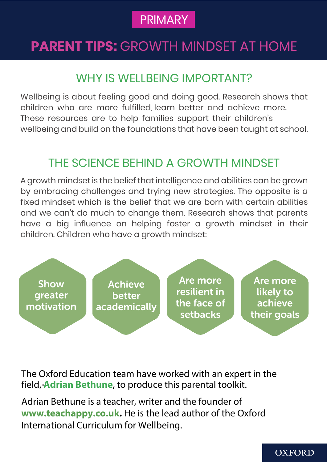### PRIMARY

### **PARENT TIPS: GROWTH MINDSET AT HOME**

### WHY IS WELL BEING IMPORTANT?

Wellbeing is about feeling good and doing good. Research shows that children who are more fulfilled, learn better and achieve more. These resources are to help families support their children's wellbeing and build on the foundations that have been taught at school.

### THE SCIENCE BEHIND A GROWTH MINDSET

A growth mindset is the belief that intelligence and abilities can be grown by embracing challenges and trying new strategies. The opposite is a fixed mindset which is the belief that we are born with certain abilities and we can't do much to change them. Research shows that parents have a big influence on helping foster a growth mindset in their children. Children who have a growth mindset:



The Oxford Education team have worked with an expert in the field, **Adrian Bethune**, to produce this parental toolkit.

Adrian Bethune is a teacher, writer and the founder of **www.teachappy.co.uk.** He is the lead author of the Oxford International Curriculum for Wellbeing.

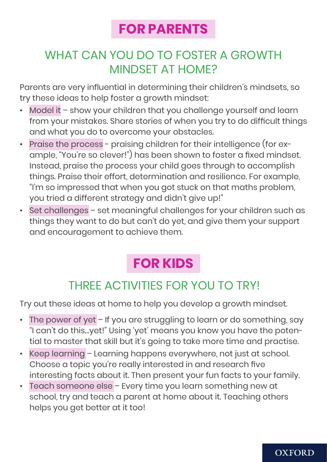### **FOR PARENTS**

### WHAT CAN YOU DO TO FOSTER A GROWTH MINDSET AT HOME?

Parents are very influential in determining their children's mindsets, so try these ideas to help foster a growth mindset:

- Model it show your children that you challenge yourself and learn from your mistakes. Share stories of when you try to do difficult things and what you do to overcome your obstacles.
- Praise the process praising children for their intelligence (for example, "You're so clever!") has been shown to foster a fixed mindset. Instead, praise the process your child goes through to accomplish things. Praise their effort, determination and resilience. For example, "I'm so impressed that when you got stuck on that maths problem, you tried a different strategy and didn't give up!"
- Set challenges set meaningful challenges for your children such as things they want to do but can't do yet, and give them your support and encouragement to achieve them.

# **FOR KIDS**

### THREE ACTIVITIES FOR YOU TO TRY!

Try out these ideas at home to help you develop a growth mindset.

- The power of yet If you are struggling to learn or do something, say "I can't do this…yet!" Using 'yet' means you know you have the potential to master that skill but it's going to take more time and practise.
- Keep learning Learning happens everywhere, not just at school. Choose a topic you're really interested in and research five interesting facts about it. Then present your fun facts to your family.
- Teach someone else Every time you learn something new at school, try and teach a parent at home about it. Teaching others helps you get better at it too!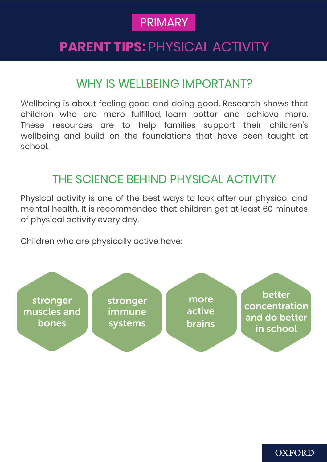### **PRIMARY**

### **PARENT TIPS:** PHYSICAL ACTIVITY

### WHY IS WELLBEING IMPORTANT?

Wellbeing is about feeling good and doing good. Research shows that children who are more fulfilled, learn better and achieve more. These resources are to help families support their children's wellbeing and build on the foundations that have been taught at school.

#### THE SCIENCE BEHIND PHYSICAL ACTIVITY

Physical activity is one of the best ways to look after our physical and mental health. It is recommended that children get at least 60 minutes of physical activity every day.

Children who are physically active have:

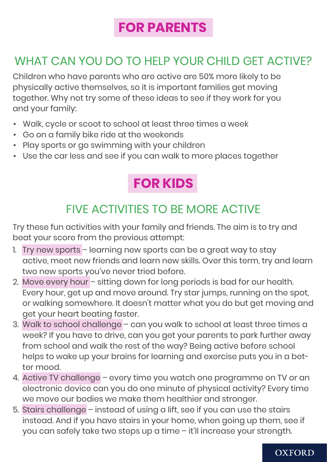### **FOR PARENTS**

### WHAT CAN YOU DO TO HELP YOUR CHILD GET ACTIVE?

Children who have parents who are active are 50% more likely to be physically active themselves, so it is important families get moving together. Why not try some of these ideas to see if they work for you and your family:

- Walk, cycle or scoot to school at least three times a week
- Go on a family bike ride at the weekends
- Play sports or go swimming with your children
- Use the car less and see if you can walk to more places together

## **FOR KIDS**

### FIVE ACTIVITIES TO BE MORE ACTIVE

Try these fun activities with your family and friends. The aim is to try and beat your score from the previous attempt:

- 1. Try new sports learning new sports can be a great way to stay active, meet new friends and learn new skills. Over this term, try and learn two new sports you've never tried before.
- 2. Move every hour sitting down for long periods is bad for our health. Every hour, get up and move around. Try star jumps, running on the spot, or walking somewhere. It doesn't matter what you do but get moving and get your heart beating faster.
- 3. Walk to school challenge can you walk to school at least three times a week? If you have to drive, can you get your parents to park further away from school and walk the rest of the way? Being active before school helps to wake up your brains for learning and exercise puts you in a better mood.
- 4. Active TV challenge every time you watch one programme on TV or an electronic device can you do one minute of physical activity? Every time we move our bodies we make them healthier and stronger.
- 5. Stairs challenge instead of using a lift, see if you can use the stairs instead. And if you have stairs in your home, when going up them, see if you can safely take two steps up a time – it'll increase your strength.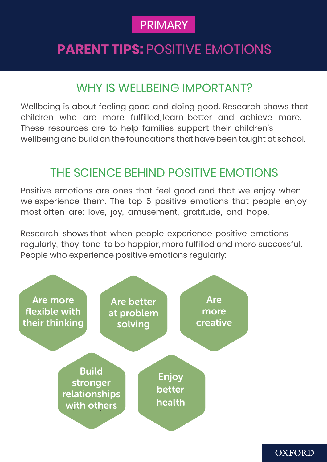### PRIMARY

### **PARENT TIPS:** POSITIVE EMOTIONS

### WHY IS WELLBEING IMPORTANT?

Wellbeing is about feeling good and doing good. Research shows that children who are more fulfilled, learn better and achieve more. These resources are to help families support their children's wellbeing and build on the foundations that have been taught at school.

#### THE SCIENCE BEHIND POSITIVE EMOTIONS

Positive emotions are ones that feel good and that we enjoy when we experience them. The top 5 positive emotions that people enjoy most often are: love, joy, amusement, gratitude, and hope.

Research shows that when people experience positive emotions regularly, they tend to be happier, more fulfilled and more successful. People who experience positive emotions regularly: